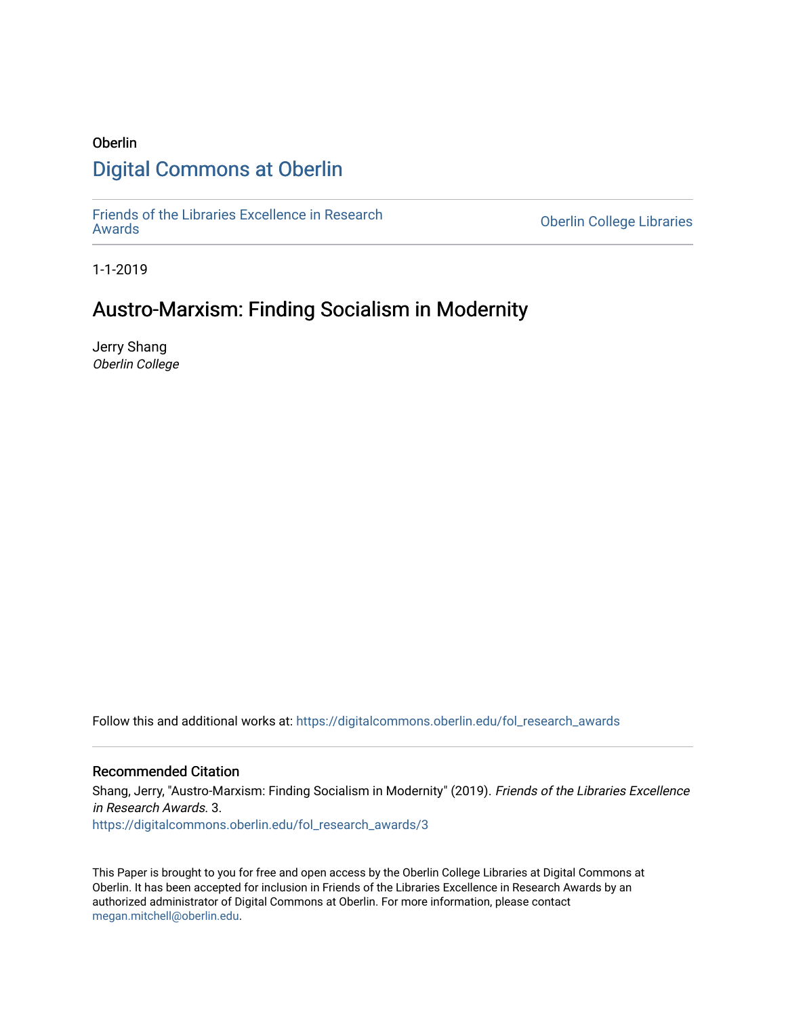# Oberlin [Digital Commons at Oberlin](https://digitalcommons.oberlin.edu/)

[Friends of the Libraries Excellence in Research](https://digitalcommons.oberlin.edu/fol_research_awards)

**Oberlin College Libraries** 

1-1-2019

# Austro-Marxism: Finding Socialism in Modernity

Jerry Shang Oberlin College

Follow this and additional works at: [https://digitalcommons.oberlin.edu/fol\\_research\\_awards](https://digitalcommons.oberlin.edu/fol_research_awards?utm_source=digitalcommons.oberlin.edu%2Ffol_research_awards%2F3&utm_medium=PDF&utm_campaign=PDFCoverPages)

# Recommended Citation

Shang, Jerry, "Austro-Marxism: Finding Socialism in Modernity" (2019). Friends of the Libraries Excellence in Research Awards. 3.

[https://digitalcommons.oberlin.edu/fol\\_research\\_awards/3](https://digitalcommons.oberlin.edu/fol_research_awards/3?utm_source=digitalcommons.oberlin.edu%2Ffol_research_awards%2F3&utm_medium=PDF&utm_campaign=PDFCoverPages) 

This Paper is brought to you for free and open access by the Oberlin College Libraries at Digital Commons at Oberlin. It has been accepted for inclusion in Friends of the Libraries Excellence in Research Awards by an authorized administrator of Digital Commons at Oberlin. For more information, please contact [megan.mitchell@oberlin.edu](mailto:megan.mitchell@oberlin.edu).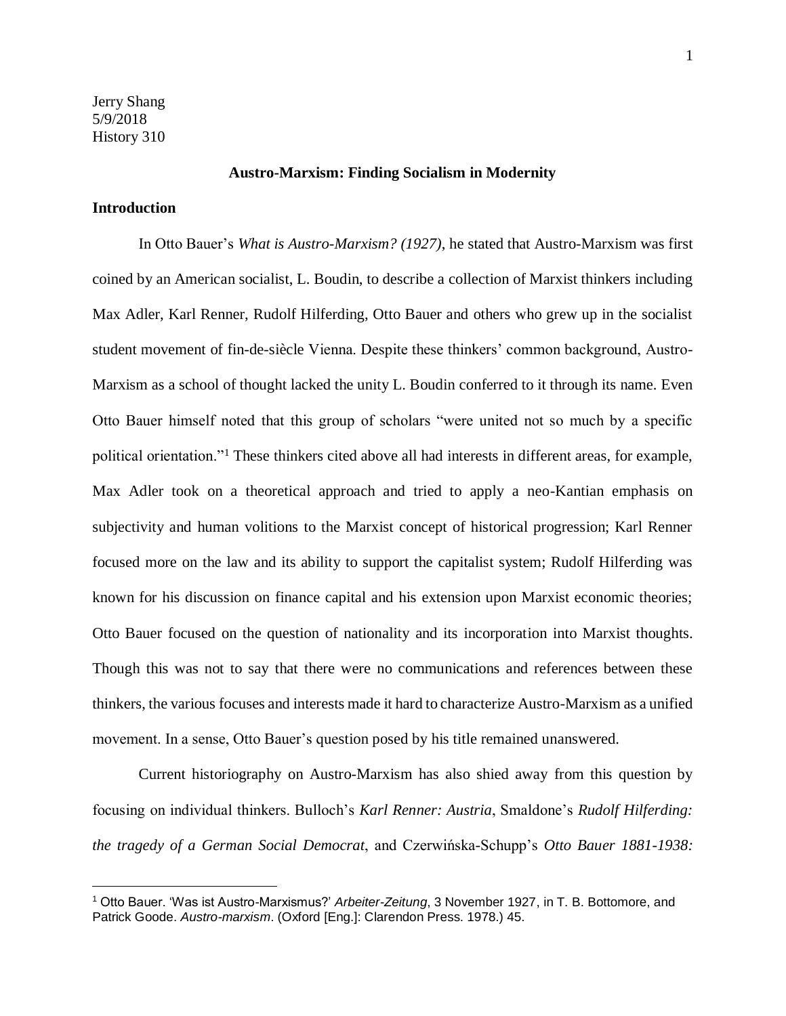## **Austro-Marxism: Finding Socialism in Modernity**

### **Introduction**

l,

In Otto Bauer's *What is Austro-Marxism? (1927)*, he stated that Austro-Marxism was first coined by an American socialist, L. Boudin, to describe a collection of Marxist thinkers including Max Adler, Karl Renner, Rudolf Hilferding, Otto Bauer and others who grew up in the socialist student movement of fin-de-siècle Vienna. Despite these thinkers' common background, Austro-Marxism as a school of thought lacked the unity L. Boudin conferred to it through its name. Even Otto Bauer himself noted that this group of scholars "were united not so much by a specific political orientation."<sup>1</sup> These thinkers cited above all had interests in different areas, for example, Max Adler took on a theoretical approach and tried to apply a neo-Kantian emphasis on subjectivity and human volitions to the Marxist concept of historical progression; Karl Renner focused more on the law and its ability to support the capitalist system; Rudolf Hilferding was known for his discussion on finance capital and his extension upon Marxist economic theories; Otto Bauer focused on the question of nationality and its incorporation into Marxist thoughts. Though this was not to say that there were no communications and references between these thinkers, the various focuses and interests made it hard to characterize Austro-Marxism as a unified movement. In a sense, Otto Bauer's question posed by his title remained unanswered.

Current historiography on Austro-Marxism has also shied away from this question by focusing on individual thinkers. Bulloch's *Karl Renner: Austria*, Smaldone's *Rudolf Hilferding: the tragedy of a German Social Democrat*, and Czerwińska-Schupp's *Otto Bauer 1881-1938:* 

<sup>1</sup> Otto Bauer. 'Was ist Austro-Marxismus?' *Arbeiter-Zeitung*, 3 November 1927, in T. B. Bottomore, and Patrick Goode. *Austro-marxism*. (Oxford [Eng.]: Clarendon Press. 1978.) 45.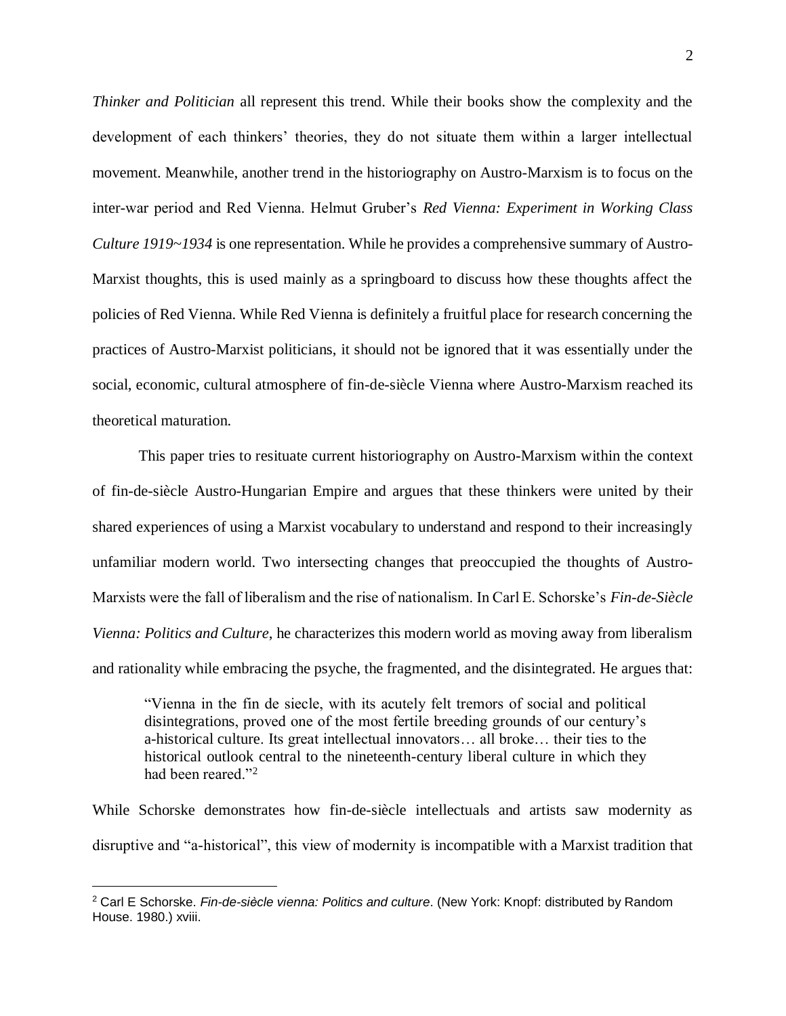*Thinker and Politician* all represent this trend. While their books show the complexity and the development of each thinkers' theories, they do not situate them within a larger intellectual movement. Meanwhile, another trend in the historiography on Austro-Marxism is to focus on the inter-war period and Red Vienna. Helmut Gruber's *Red Vienna: Experiment in Working Class Culture 1919~1934* is one representation. While he provides a comprehensive summary of Austro-Marxist thoughts, this is used mainly as a springboard to discuss how these thoughts affect the policies of Red Vienna. While Red Vienna is definitely a fruitful place for research concerning the practices of Austro-Marxist politicians, it should not be ignored that it was essentially under the social, economic, cultural atmosphere of fin-de-siècle Vienna where Austro-Marxism reached its theoretical maturation.

This paper tries to resituate current historiography on Austro-Marxism within the context of fin-de-siècle Austro-Hungarian Empire and argues that these thinkers were united by their shared experiences of using a Marxist vocabulary to understand and respond to their increasingly unfamiliar modern world. Two intersecting changes that preoccupied the thoughts of Austro-Marxists were the fall of liberalism and the rise of nationalism. In Carl E. Schorske's *Fin-de-Siècle Vienna: Politics and Culture*, he characterizes this modern world as moving away from liberalism and rationality while embracing the psyche, the fragmented, and the disintegrated. He argues that:

"Vienna in the fin de siecle, with its acutely felt tremors of social and political disintegrations, proved one of the most fertile breeding grounds of our century's a-historical culture. Its great intellectual innovators… all broke… their ties to the historical outlook central to the nineteenth-century liberal culture in which they had been reared."<sup>2</sup>

While Schorske demonstrates how fin-de-siècle intellectuals and artists saw modernity as disruptive and "a-historical", this view of modernity is incompatible with a Marxist tradition that

<sup>2</sup> Carl E Schorske. *Fin-de-siècle vienna: Politics and culture*. (New York: Knopf: distributed by Random House. 1980.) xviii.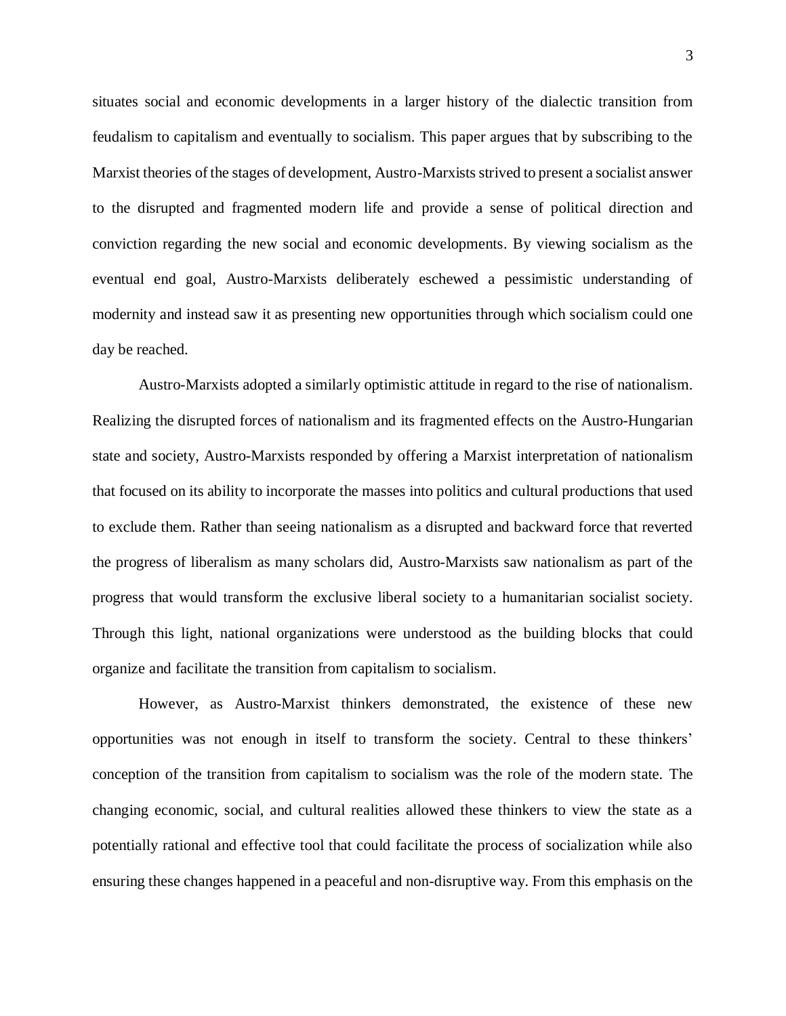situates social and economic developments in a larger history of the dialectic transition from feudalism to capitalism and eventually to socialism. This paper argues that by subscribing to the Marxist theories of the stages of development, Austro-Marxists strived to present a socialist answer to the disrupted and fragmented modern life and provide a sense of political direction and conviction regarding the new social and economic developments. By viewing socialism as the eventual end goal, Austro-Marxists deliberately eschewed a pessimistic understanding of modernity and instead saw it as presenting new opportunities through which socialism could one day be reached.

Austro-Marxists adopted a similarly optimistic attitude in regard to the rise of nationalism. Realizing the disrupted forces of nationalism and its fragmented effects on the Austro-Hungarian state and society, Austro-Marxists responded by offering a Marxist interpretation of nationalism that focused on its ability to incorporate the masses into politics and cultural productions that used to exclude them. Rather than seeing nationalism as a disrupted and backward force that reverted the progress of liberalism as many scholars did, Austro-Marxists saw nationalism as part of the progress that would transform the exclusive liberal society to a humanitarian socialist society. Through this light, national organizations were understood as the building blocks that could organize and facilitate the transition from capitalism to socialism.

However, as Austro-Marxist thinkers demonstrated, the existence of these new opportunities was not enough in itself to transform the society. Central to these thinkers' conception of the transition from capitalism to socialism was the role of the modern state. The changing economic, social, and cultural realities allowed these thinkers to view the state as a potentially rational and effective tool that could facilitate the process of socialization while also ensuring these changes happened in a peaceful and non-disruptive way. From this emphasis on the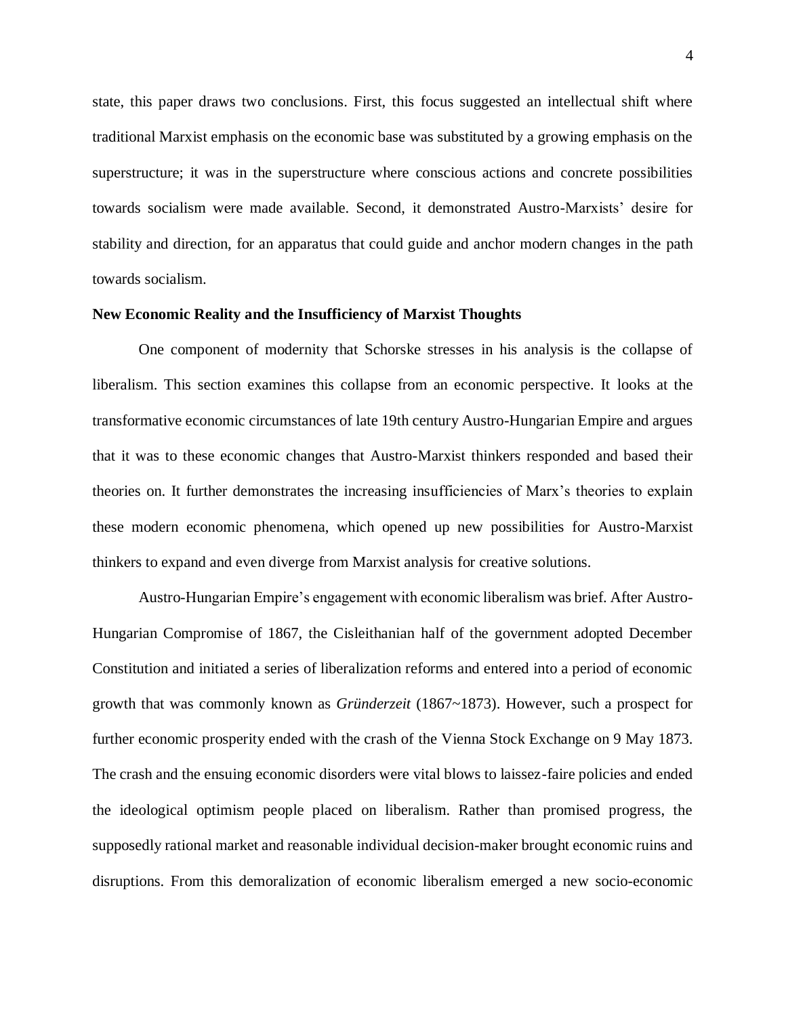state, this paper draws two conclusions. First, this focus suggested an intellectual shift where traditional Marxist emphasis on the economic base was substituted by a growing emphasis on the superstructure; it was in the superstructure where conscious actions and concrete possibilities towards socialism were made available. Second, it demonstrated Austro-Marxists' desire for stability and direction, for an apparatus that could guide and anchor modern changes in the path towards socialism.

#### **New Economic Reality and the Insufficiency of Marxist Thoughts**

One component of modernity that Schorske stresses in his analysis is the collapse of liberalism. This section examines this collapse from an economic perspective. It looks at the transformative economic circumstances of late 19th century Austro-Hungarian Empire and argues that it was to these economic changes that Austro-Marxist thinkers responded and based their theories on. It further demonstrates the increasing insufficiencies of Marx's theories to explain these modern economic phenomena, which opened up new possibilities for Austro-Marxist thinkers to expand and even diverge from Marxist analysis for creative solutions.

Austro-Hungarian Empire's engagement with economic liberalism was brief. After Austro-Hungarian Compromise of 1867, the Cisleithanian half of the government adopted December Constitution and initiated a series of liberalization reforms and entered into a period of economic growth that was commonly known as *Gründerzeit* (1867~1873). However, such a prospect for further economic prosperity ended with the crash of the Vienna Stock Exchange on 9 May 1873. The crash and the ensuing economic disorders were vital blows to laissez-faire policies and ended the ideological optimism people placed on liberalism. Rather than promised progress, the supposedly rational market and reasonable individual decision-maker brought economic ruins and disruptions. From this demoralization of economic liberalism emerged a new socio-economic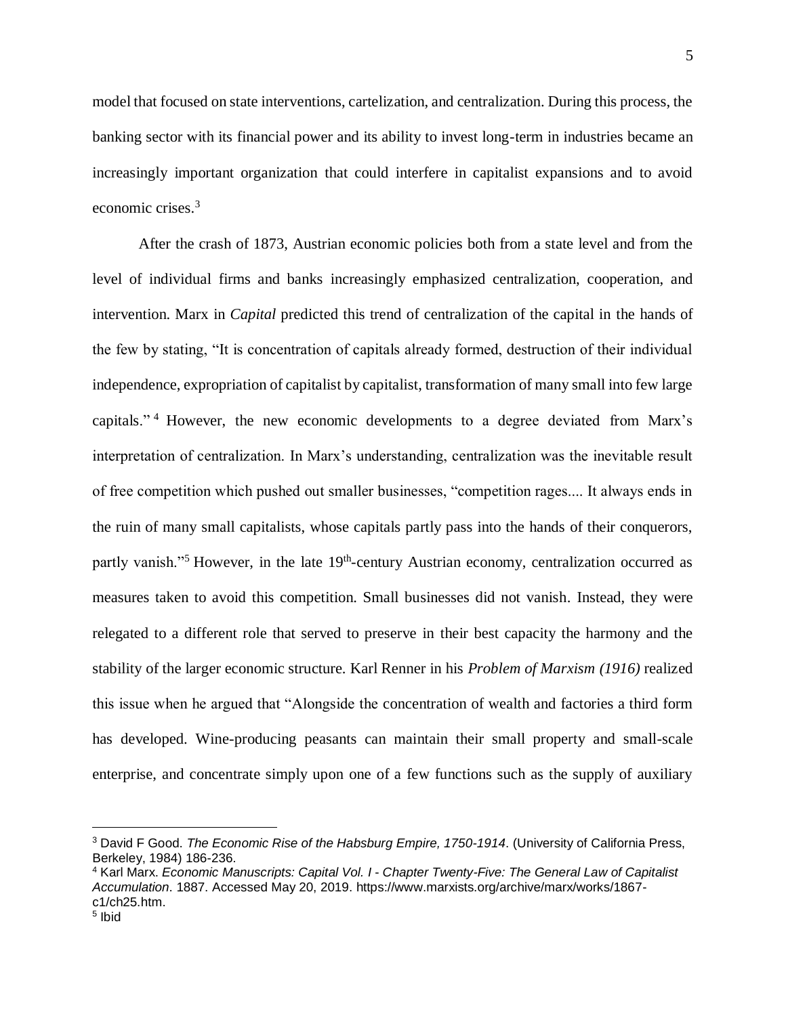model that focused on state interventions, cartelization, and centralization. During this process, the banking sector with its financial power and its ability to invest long-term in industries became an increasingly important organization that could interfere in capitalist expansions and to avoid economic crises.<sup>3</sup>

After the crash of 1873, Austrian economic policies both from a state level and from the level of individual firms and banks increasingly emphasized centralization, cooperation, and intervention. Marx in *Capital* predicted this trend of centralization of the capital in the hands of the few by stating, "It is concentration of capitals already formed, destruction of their individual independence, expropriation of capitalist by capitalist, transformation of many small into few large capitals." <sup>4</sup> However, the new economic developments to a degree deviated from Marx's interpretation of centralization. In Marx's understanding, centralization was the inevitable result of free competition which pushed out smaller businesses, "competition rages.... It always ends in the ruin of many small capitalists, whose capitals partly pass into the hands of their conquerors, partly vanish."<sup>5</sup> However, in the late 19<sup>th</sup>-century Austrian economy, centralization occurred as measures taken to avoid this competition. Small businesses did not vanish. Instead, they were relegated to a different role that served to preserve in their best capacity the harmony and the stability of the larger economic structure. Karl Renner in his *Problem of Marxism (1916)* realized this issue when he argued that "Alongside the concentration of wealth and factories a third form has developed. Wine-producing peasants can maintain their small property and small-scale enterprise, and concentrate simply upon one of a few functions such as the supply of auxiliary

<sup>3</sup> David F Good. *The Economic Rise of the Habsburg Empire, 1750-1914*. (University of California Press, Berkeley, 1984) 186-236.

<sup>4</sup> Karl Marx. *Economic Manuscripts: Capital Vol. I* - *Chapter Twenty-Five: The General Law of Capitalist Accumulation*. 1887. Accessed May 20, 2019. https://www.marxists.org/archive/marx/works/1867 c1/ch25.htm.

<sup>5</sup> Ibid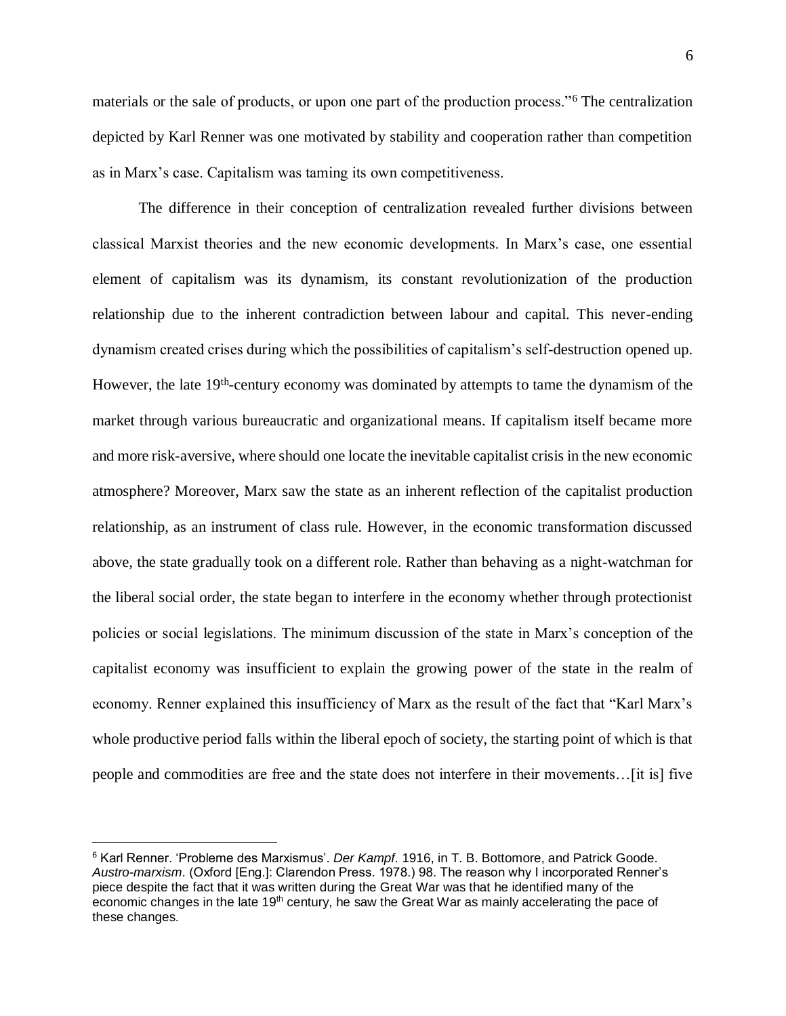materials or the sale of products, or upon one part of the production process."<sup>6</sup> The centralization depicted by Karl Renner was one motivated by stability and cooperation rather than competition as in Marx's case. Capitalism was taming its own competitiveness.

The difference in their conception of centralization revealed further divisions between classical Marxist theories and the new economic developments. In Marx's case, one essential element of capitalism was its dynamism, its constant revolutionization of the production relationship due to the inherent contradiction between labour and capital. This never-ending dynamism created crises during which the possibilities of capitalism's self-destruction opened up. However, the late 19<sup>th</sup>-century economy was dominated by attempts to tame the dynamism of the market through various bureaucratic and organizational means. If capitalism itself became more and more risk-aversive, where should one locate the inevitable capitalist crisis in the new economic atmosphere? Moreover, Marx saw the state as an inherent reflection of the capitalist production relationship, as an instrument of class rule. However, in the economic transformation discussed above, the state gradually took on a different role. Rather than behaving as a night-watchman for the liberal social order, the state began to interfere in the economy whether through protectionist policies or social legislations. The minimum discussion of the state in Marx's conception of the capitalist economy was insufficient to explain the growing power of the state in the realm of economy. Renner explained this insufficiency of Marx as the result of the fact that "Karl Marx's whole productive period falls within the liberal epoch of society, the starting point of which is that people and commodities are free and the state does not interfere in their movements…[it is] five

<sup>6</sup> Karl Renner. 'Probleme des Marxismus'. *Der Kampf*. 1916, in T. B. Bottomore, and Patrick Goode. *Austro-marxism*. (Oxford [Eng.]: Clarendon Press. 1978.) 98. The reason why I incorporated Renner's piece despite the fact that it was written during the Great War was that he identified many of the economic changes in the late 19<sup>th</sup> century, he saw the Great War as mainly accelerating the pace of these changes.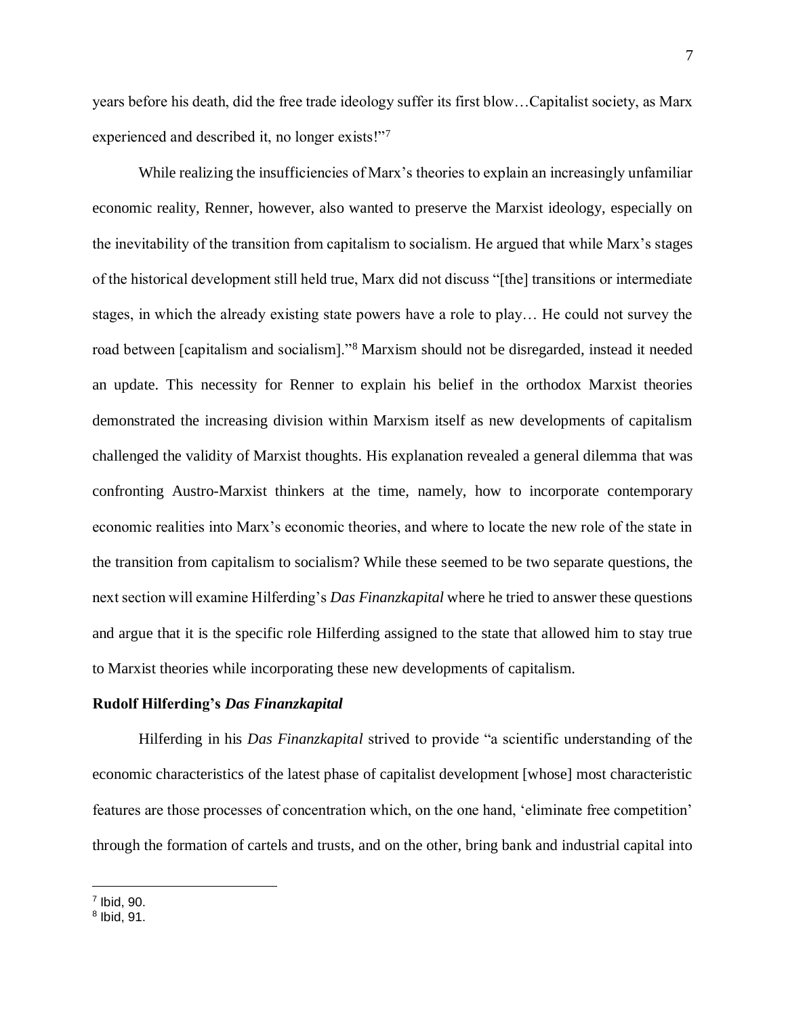years before his death, did the free trade ideology suffer its first blow…Capitalist society, as Marx experienced and described it, no longer exists!"<sup>7</sup>

While realizing the insufficiencies of Marx's theories to explain an increasingly unfamiliar economic reality, Renner, however, also wanted to preserve the Marxist ideology, especially on the inevitability of the transition from capitalism to socialism. He argued that while Marx's stages of the historical development still held true, Marx did not discuss "[the] transitions or intermediate stages, in which the already existing state powers have a role to play… He could not survey the road between [capitalism and socialism]."<sup>8</sup> Marxism should not be disregarded, instead it needed an update. This necessity for Renner to explain his belief in the orthodox Marxist theories demonstrated the increasing division within Marxism itself as new developments of capitalism challenged the validity of Marxist thoughts. His explanation revealed a general dilemma that was confronting Austro-Marxist thinkers at the time, namely, how to incorporate contemporary economic realities into Marx's economic theories, and where to locate the new role of the state in the transition from capitalism to socialism? While these seemed to be two separate questions, the next section will examine Hilferding's *Das Finanzkapital* where he tried to answer these questions and argue that it is the specific role Hilferding assigned to the state that allowed him to stay true to Marxist theories while incorporating these new developments of capitalism.

# **Rudolf Hilferding's** *Das Finanzkapital*

Hilferding in his *Das Finanzkapital* strived to provide "a scientific understanding of the economic characteristics of the latest phase of capitalist development [whose] most characteristic features are those processes of concentration which, on the one hand, 'eliminate free competition' through the formation of cartels and trusts, and on the other, bring bank and industrial capital into

<sup>7</sup> Ibid, 90.

 $^8$  Ibid, 91.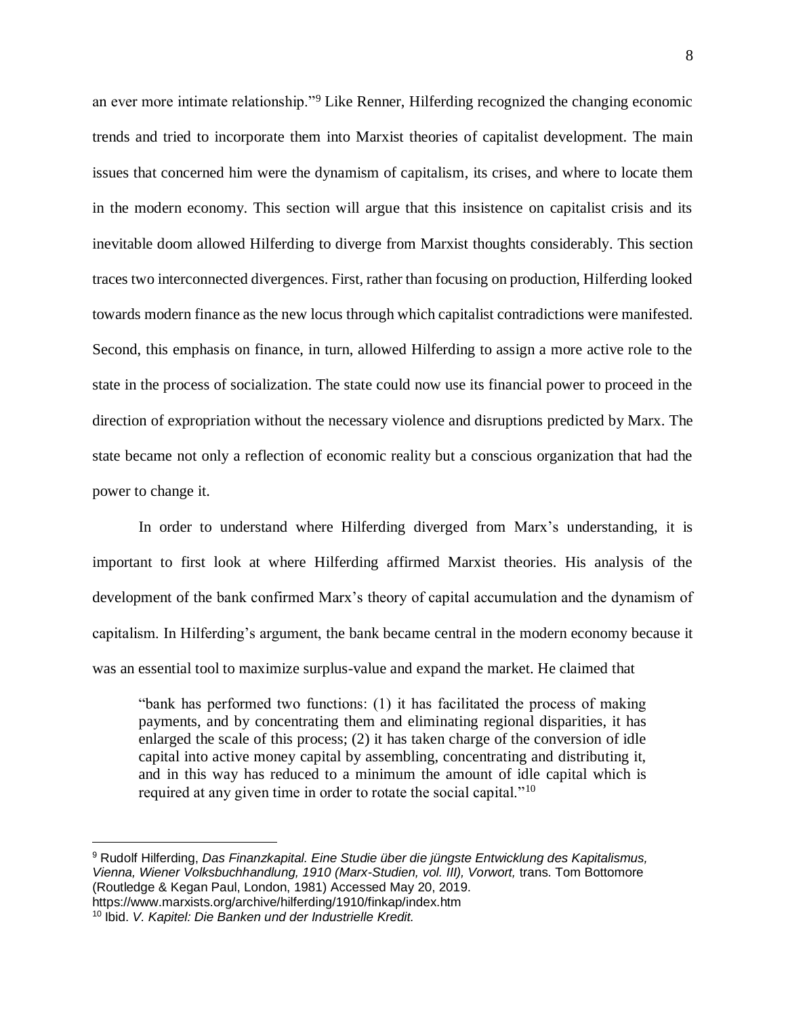an ever more intimate relationship."<sup>9</sup> Like Renner, Hilferding recognized the changing economic trends and tried to incorporate them into Marxist theories of capitalist development. The main issues that concerned him were the dynamism of capitalism, its crises, and where to locate them in the modern economy. This section will argue that this insistence on capitalist crisis and its inevitable doom allowed Hilferding to diverge from Marxist thoughts considerably. This section traces two interconnected divergences. First, rather than focusing on production, Hilferding looked towards modern finance as the new locus through which capitalist contradictions were manifested. Second, this emphasis on finance, in turn, allowed Hilferding to assign a more active role to the state in the process of socialization. The state could now use its financial power to proceed in the direction of expropriation without the necessary violence and disruptions predicted by Marx. The state became not only a reflection of economic reality but a conscious organization that had the power to change it.

In order to understand where Hilferding diverged from Marx's understanding, it is important to first look at where Hilferding affirmed Marxist theories. His analysis of the development of the bank confirmed Marx's theory of capital accumulation and the dynamism of capitalism. In Hilferding's argument, the bank became central in the modern economy because it was an essential tool to maximize surplus-value and expand the market. He claimed that

"bank has performed two functions: (1) it has facilitated the process of making payments, and by concentrating them and eliminating regional disparities, it has enlarged the scale of this process; (2) it has taken charge of the conversion of idle capital into active money capital by assembling, concentrating and distributing it, and in this way has reduced to a minimum the amount of idle capital which is required at any given time in order to rotate the social capital."<sup>10</sup>

<sup>9</sup> Rudolf Hilferding, *Das Finanzkapital. Eine Studie über die jüngste Entwicklung des Kapitalismus, Vienna, Wiener Volksbuchhandlung, 1910 (Marx-Studien, vol. III), Vorwort,* trans. Tom Bottomore (Routledge & Kegan Paul, London, 1981) Accessed May 20, 2019. https://www.marxists.org/archive/hilferding/1910/finkap/index.htm

<sup>10</sup> Ibid. *V. Kapitel: Die Banken und der Industrielle Kredit.*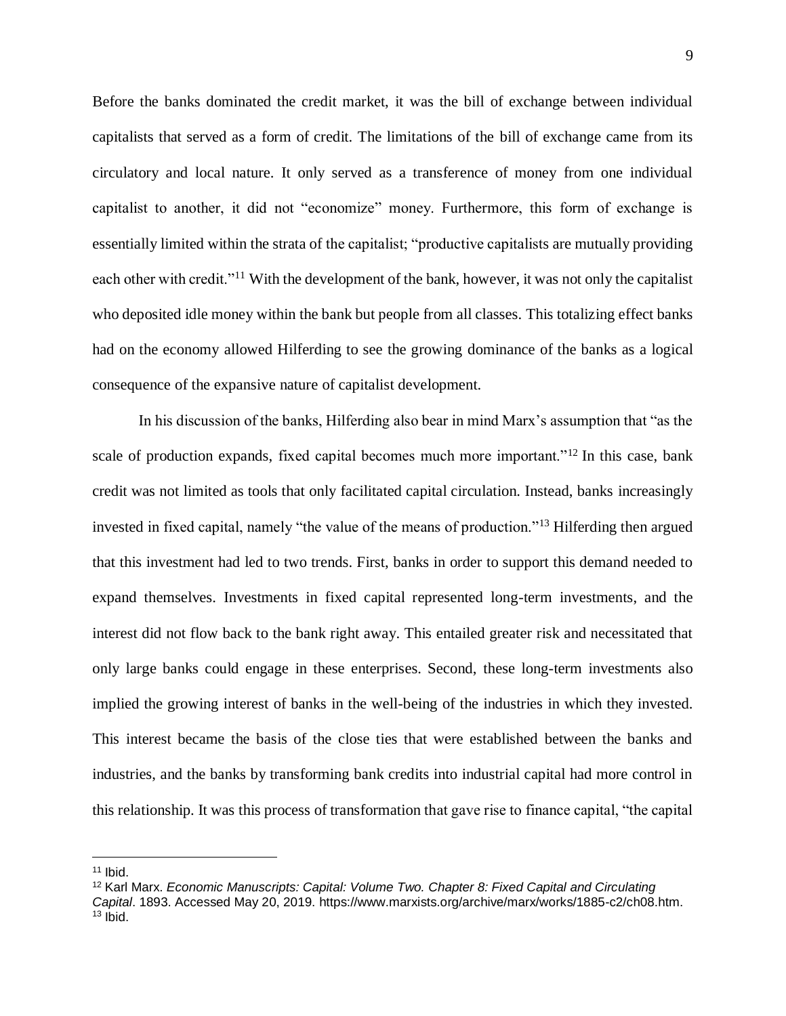Before the banks dominated the credit market, it was the bill of exchange between individual capitalists that served as a form of credit. The limitations of the bill of exchange came from its circulatory and local nature. It only served as a transference of money from one individual capitalist to another, it did not "economize" money. Furthermore, this form of exchange is essentially limited within the strata of the capitalist; "productive capitalists are mutually providing each other with credit."<sup>11</sup> With the development of the bank, however, it was not only the capitalist who deposited idle money within the bank but people from all classes. This totalizing effect banks had on the economy allowed Hilferding to see the growing dominance of the banks as a logical consequence of the expansive nature of capitalist development.

In his discussion of the banks, Hilferding also bear in mind Marx's assumption that "as the scale of production expands, fixed capital becomes much more important."<sup>12</sup> In this case, bank credit was not limited as tools that only facilitated capital circulation. Instead, banks increasingly invested in fixed capital, namely "the value of the means of production."<sup>13</sup> Hilferding then argued that this investment had led to two trends. First, banks in order to support this demand needed to expand themselves. Investments in fixed capital represented long-term investments, and the interest did not flow back to the bank right away. This entailed greater risk and necessitated that only large banks could engage in these enterprises. Second, these long-term investments also implied the growing interest of banks in the well-being of the industries in which they invested. This interest became the basis of the close ties that were established between the banks and industries, and the banks by transforming bank credits into industrial capital had more control in this relationship. It was this process of transformation that gave rise to finance capital, "the capital

 $11$  Ibid.

<sup>12</sup> Karl Marx. *Economic Manuscripts: Capital: Volume Two. Chapter 8: Fixed Capital and Circulating Capital*. 1893. Accessed May 20, 2019. https://www.marxists.org/archive/marx/works/1885-c2/ch08.htm.  $13$  lbid.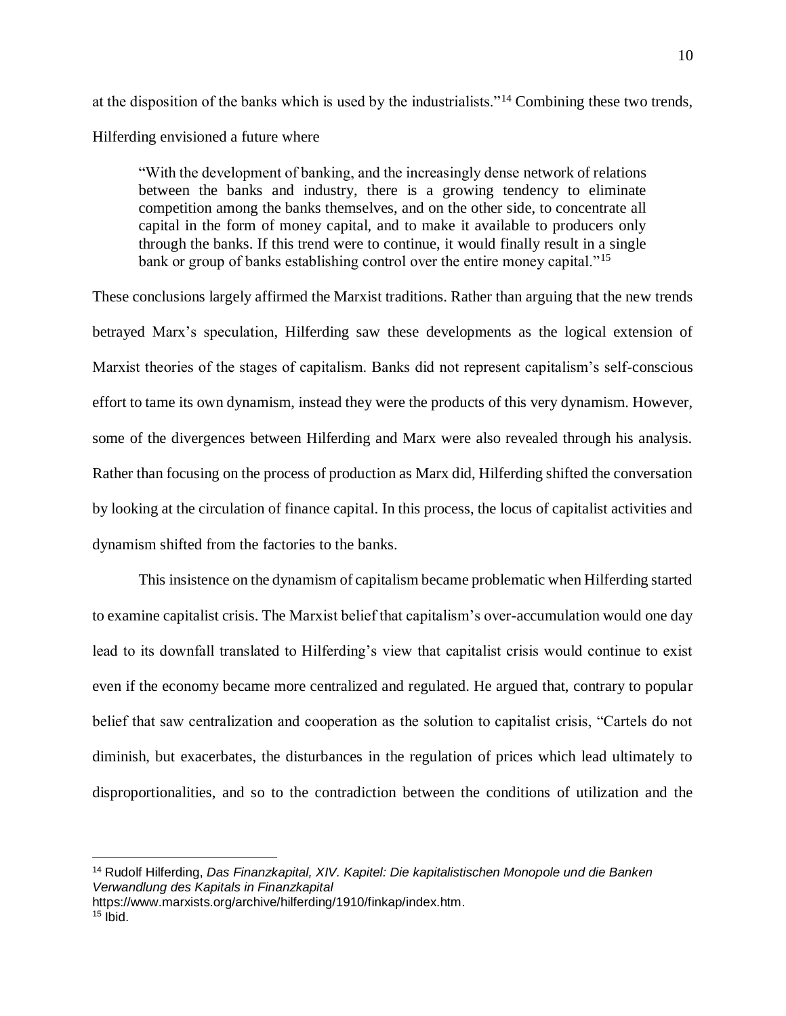at the disposition of the banks which is used by the industrialists."<sup>14</sup> Combining these two trends, Hilferding envisioned a future where

"With the development of banking, and the increasingly dense network of relations between the banks and industry, there is a growing tendency to eliminate competition among the banks themselves, and on the other side, to concentrate all capital in the form of money capital, and to make it available to producers only through the banks. If this trend were to continue, it would finally result in a single bank or group of banks establishing control over the entire money capital."<sup>15</sup>

These conclusions largely affirmed the Marxist traditions. Rather than arguing that the new trends betrayed Marx's speculation, Hilferding saw these developments as the logical extension of Marxist theories of the stages of capitalism. Banks did not represent capitalism's self-conscious effort to tame its own dynamism, instead they were the products of this very dynamism. However, some of the divergences between Hilferding and Marx were also revealed through his analysis. Rather than focusing on the process of production as Marx did, Hilferding shifted the conversation by looking at the circulation of finance capital. In this process, the locus of capitalist activities and dynamism shifted from the factories to the banks.

This insistence on the dynamism of capitalism became problematic when Hilferding started to examine capitalist crisis. The Marxist belief that capitalism's over-accumulation would one day lead to its downfall translated to Hilferding's view that capitalist crisis would continue to exist even if the economy became more centralized and regulated. He argued that, contrary to popular belief that saw centralization and cooperation as the solution to capitalist crisis, "Cartels do not diminish, but exacerbates, the disturbances in the regulation of prices which lead ultimately to disproportionalities, and so to the contradiction between the conditions of utilization and the

<sup>14</sup> Rudolf Hilferding, *Das Finanzkapital, XIV. Kapitel: Die kapitalistischen Monopole und die Banken Verwandlung des Kapitals in Finanzkapital*

https://www.marxists.org/archive/hilferding/1910/finkap/index.htm.

 $15$  lbid.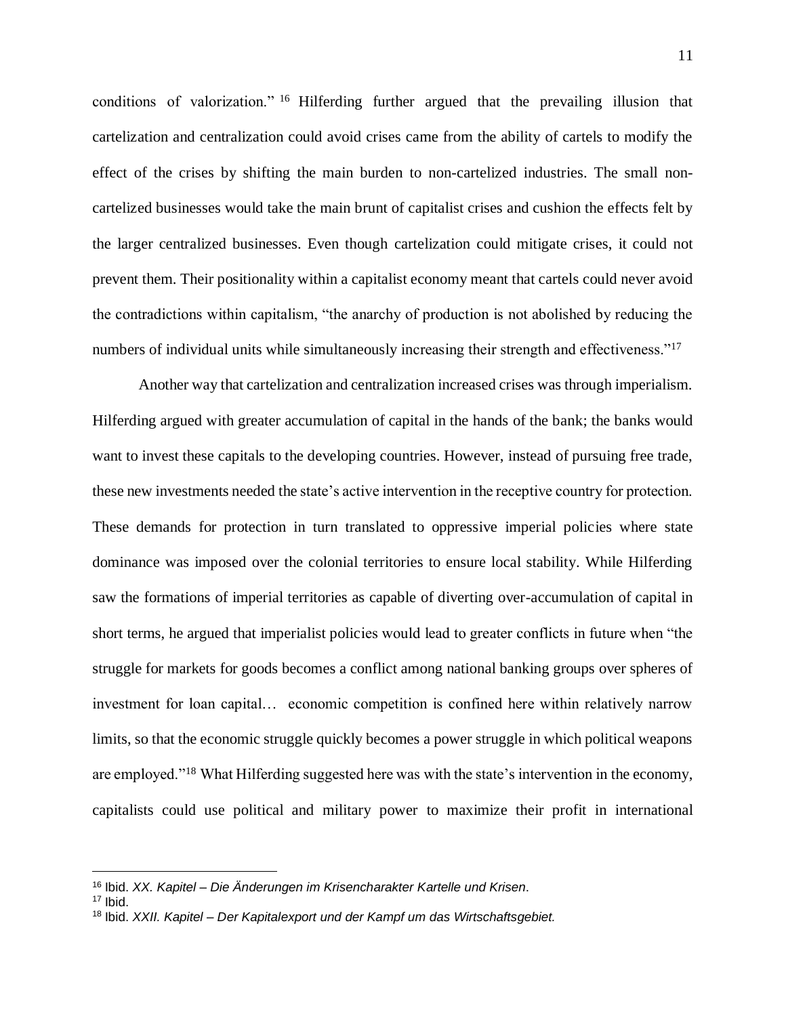conditions of valorization." <sup>16</sup> Hilferding further argued that the prevailing illusion that cartelization and centralization could avoid crises came from the ability of cartels to modify the effect of the crises by shifting the main burden to non-cartelized industries. The small noncartelized businesses would take the main brunt of capitalist crises and cushion the effects felt by the larger centralized businesses. Even though cartelization could mitigate crises, it could not prevent them. Their positionality within a capitalist economy meant that cartels could never avoid the contradictions within capitalism, "the anarchy of production is not abolished by reducing the numbers of individual units while simultaneously increasing their strength and effectiveness."<sup>17</sup>

Another way that cartelization and centralization increased crises was through imperialism. Hilferding argued with greater accumulation of capital in the hands of the bank; the banks would want to invest these capitals to the developing countries. However, instead of pursuing free trade, these new investments needed the state's active intervention in the receptive country for protection. These demands for protection in turn translated to oppressive imperial policies where state dominance was imposed over the colonial territories to ensure local stability. While Hilferding saw the formations of imperial territories as capable of diverting over-accumulation of capital in short terms, he argued that imperialist policies would lead to greater conflicts in future when "the struggle for markets for goods becomes a conflict among national banking groups over spheres of investment for loan capital… economic competition is confined here within relatively narrow limits, so that the economic struggle quickly becomes a power struggle in which political weapons are employed."<sup>18</sup> What Hilferding suggested here was with the state's intervention in the economy, capitalists could use political and military power to maximize their profit in international

<sup>16</sup> Ibid. *XX. Kapitel – Die Änderungen im Krisencharakter Kartelle und Krisen*.

 $17$  Ibid.

<sup>18</sup> Ibid. *XXII. Kapitel – Der Kapitalexport und der Kampf um das Wirtschaftsgebiet.*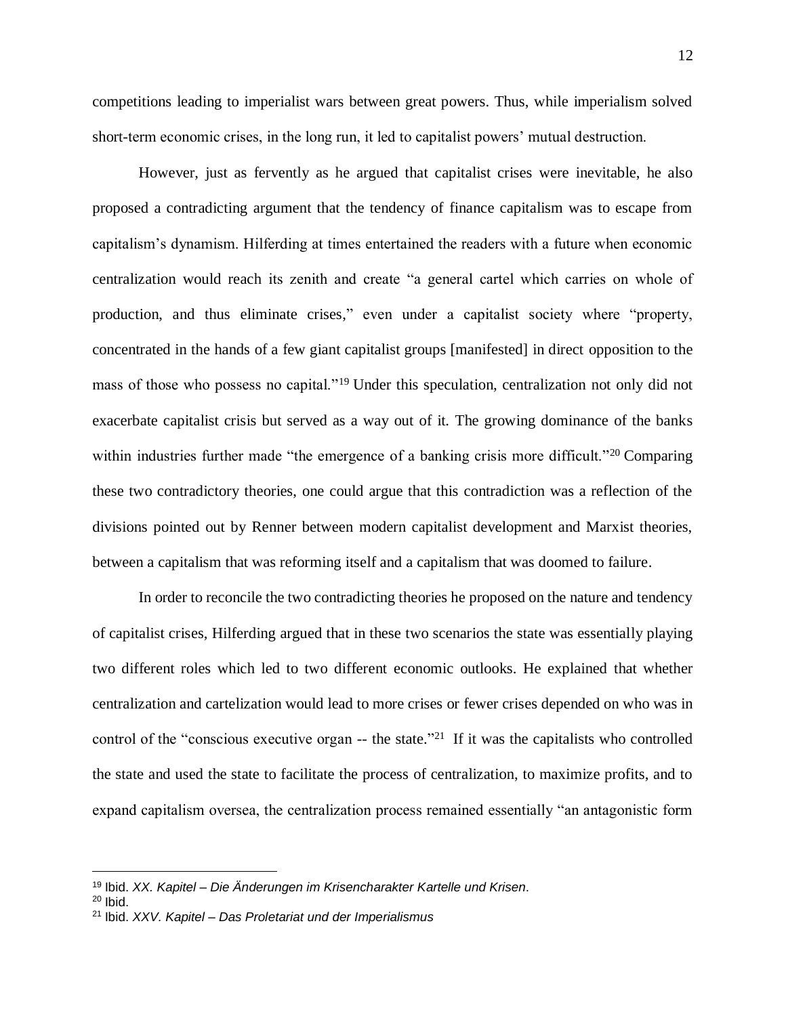competitions leading to imperialist wars between great powers. Thus, while imperialism solved short-term economic crises, in the long run, it led to capitalist powers' mutual destruction.

However, just as fervently as he argued that capitalist crises were inevitable, he also proposed a contradicting argument that the tendency of finance capitalism was to escape from capitalism's dynamism. Hilferding at times entertained the readers with a future when economic centralization would reach its zenith and create "a general cartel which carries on whole of production, and thus eliminate crises," even under a capitalist society where "property, concentrated in the hands of a few giant capitalist groups [manifested] in direct opposition to the mass of those who possess no capital."<sup>19</sup> Under this speculation, centralization not only did not exacerbate capitalist crisis but served as a way out of it. The growing dominance of the banks within industries further made "the emergence of a banking crisis more difficult."<sup>20</sup> Comparing these two contradictory theories, one could argue that this contradiction was a reflection of the divisions pointed out by Renner between modern capitalist development and Marxist theories, between a capitalism that was reforming itself and a capitalism that was doomed to failure.

In order to reconcile the two contradicting theories he proposed on the nature and tendency of capitalist crises, Hilferding argued that in these two scenarios the state was essentially playing two different roles which led to two different economic outlooks. He explained that whether centralization and cartelization would lead to more crises or fewer crises depended on who was in control of the "conscious executive organ  $-$  the state."<sup>21</sup> If it was the capitalists who controlled the state and used the state to facilitate the process of centralization, to maximize profits, and to expand capitalism oversea, the centralization process remained essentially "an antagonistic form

<sup>19</sup> Ibid. *XX. Kapitel – Die Änderungen im Krisencharakter Kartelle und Krisen*.

 $20$  lhid.

<sup>21</sup> Ibid. *XXV. Kapitel – Das Proletariat und der Imperialismus*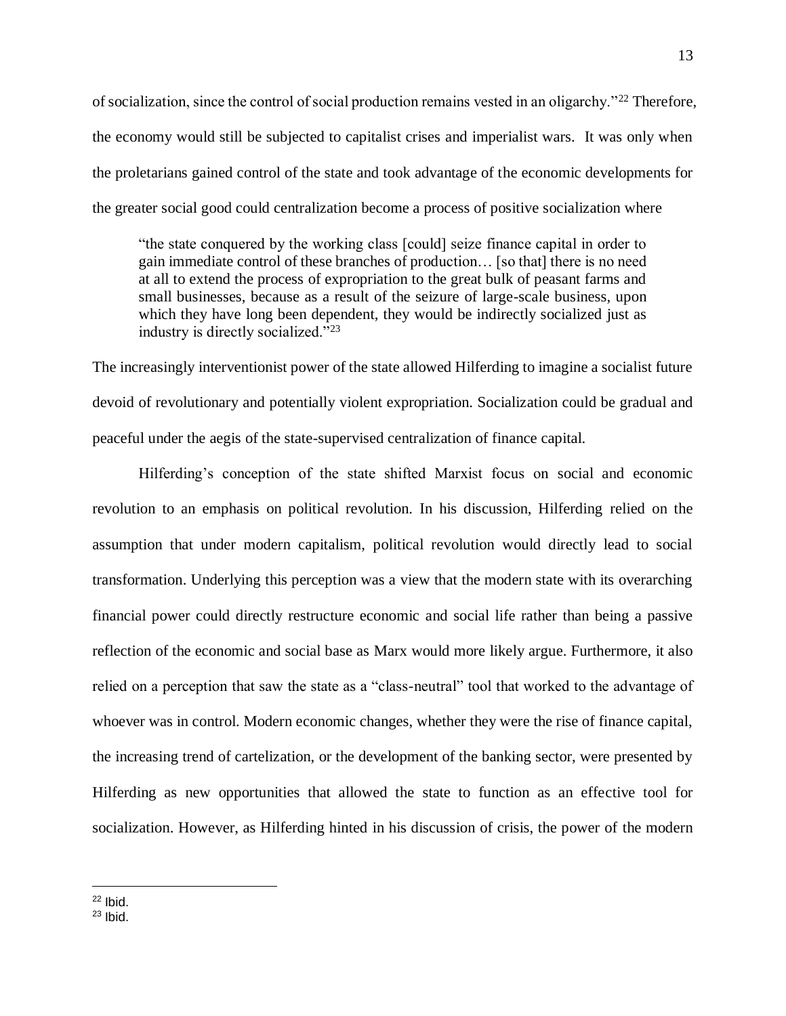of socialization, since the control of social production remains vested in an oligarchy."<sup>22</sup> Therefore, the economy would still be subjected to capitalist crises and imperialist wars. It was only when the proletarians gained control of the state and took advantage of the economic developments for the greater social good could centralization become a process of positive socialization where

"the state conquered by the working class [could] seize finance capital in order to gain immediate control of these branches of production… [so that] there is no need at all to extend the process of expropriation to the great bulk of peasant farms and small businesses, because as a result of the seizure of large-scale business, upon which they have long been dependent, they would be indirectly socialized just as industry is directly socialized."<sup>23</sup>

The increasingly interventionist power of the state allowed Hilferding to imagine a socialist future devoid of revolutionary and potentially violent expropriation. Socialization could be gradual and peaceful under the aegis of the state-supervised centralization of finance capital.

Hilferding's conception of the state shifted Marxist focus on social and economic revolution to an emphasis on political revolution. In his discussion, Hilferding relied on the assumption that under modern capitalism, political revolution would directly lead to social transformation. Underlying this perception was a view that the modern state with its overarching financial power could directly restructure economic and social life rather than being a passive reflection of the economic and social base as Marx would more likely argue. Furthermore, it also relied on a perception that saw the state as a "class-neutral" tool that worked to the advantage of whoever was in control. Modern economic changes, whether they were the rise of finance capital, the increasing trend of cartelization, or the development of the banking sector, were presented by Hilferding as new opportunities that allowed the state to function as an effective tool for socialization. However, as Hilferding hinted in his discussion of crisis, the power of the modern

 $22$  Ibid.

 $23$  lbid.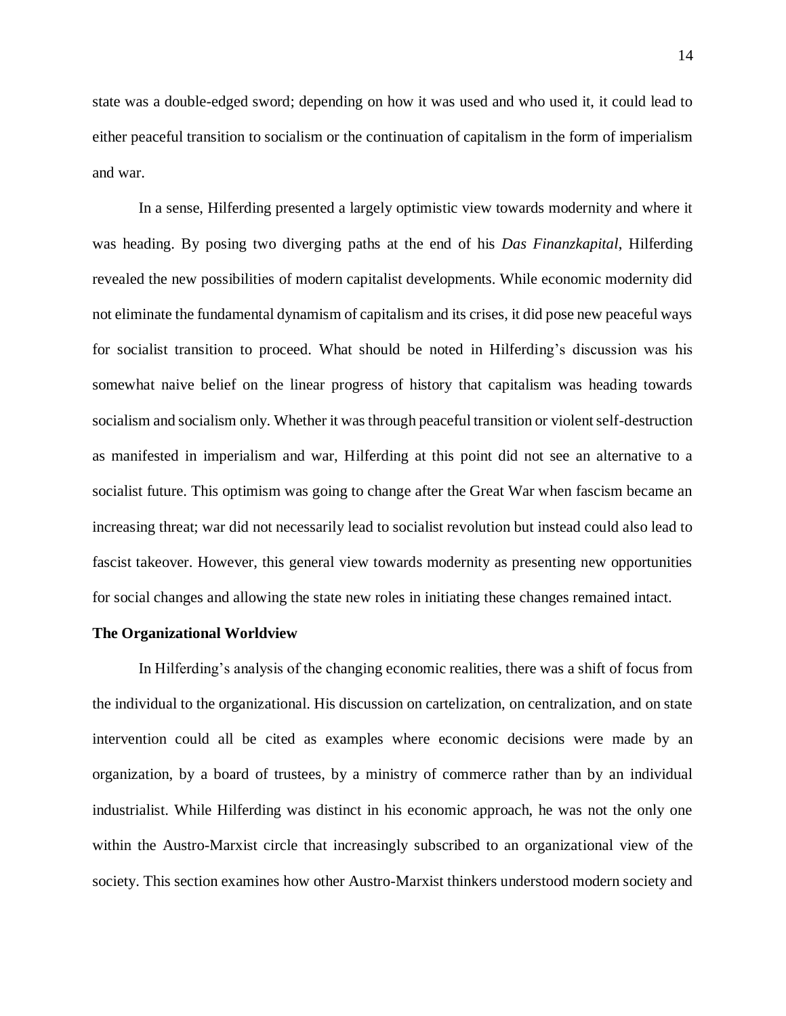state was a double-edged sword; depending on how it was used and who used it, it could lead to either peaceful transition to socialism or the continuation of capitalism in the form of imperialism and war.

In a sense, Hilferding presented a largely optimistic view towards modernity and where it was heading. By posing two diverging paths at the end of his *Das Finanzkapital*, Hilferding revealed the new possibilities of modern capitalist developments. While economic modernity did not eliminate the fundamental dynamism of capitalism and its crises, it did pose new peaceful ways for socialist transition to proceed. What should be noted in Hilferding's discussion was his somewhat naive belief on the linear progress of history that capitalism was heading towards socialism and socialism only. Whether it was through peaceful transition or violent self-destruction as manifested in imperialism and war, Hilferding at this point did not see an alternative to a socialist future. This optimism was going to change after the Great War when fascism became an increasing threat; war did not necessarily lead to socialist revolution but instead could also lead to fascist takeover. However, this general view towards modernity as presenting new opportunities for social changes and allowing the state new roles in initiating these changes remained intact.

#### **The Organizational Worldview**

In Hilferding's analysis of the changing economic realities, there was a shift of focus from the individual to the organizational. His discussion on cartelization, on centralization, and on state intervention could all be cited as examples where economic decisions were made by an organization, by a board of trustees, by a ministry of commerce rather than by an individual industrialist. While Hilferding was distinct in his economic approach, he was not the only one within the Austro-Marxist circle that increasingly subscribed to an organizational view of the society. This section examines how other Austro-Marxist thinkers understood modern society and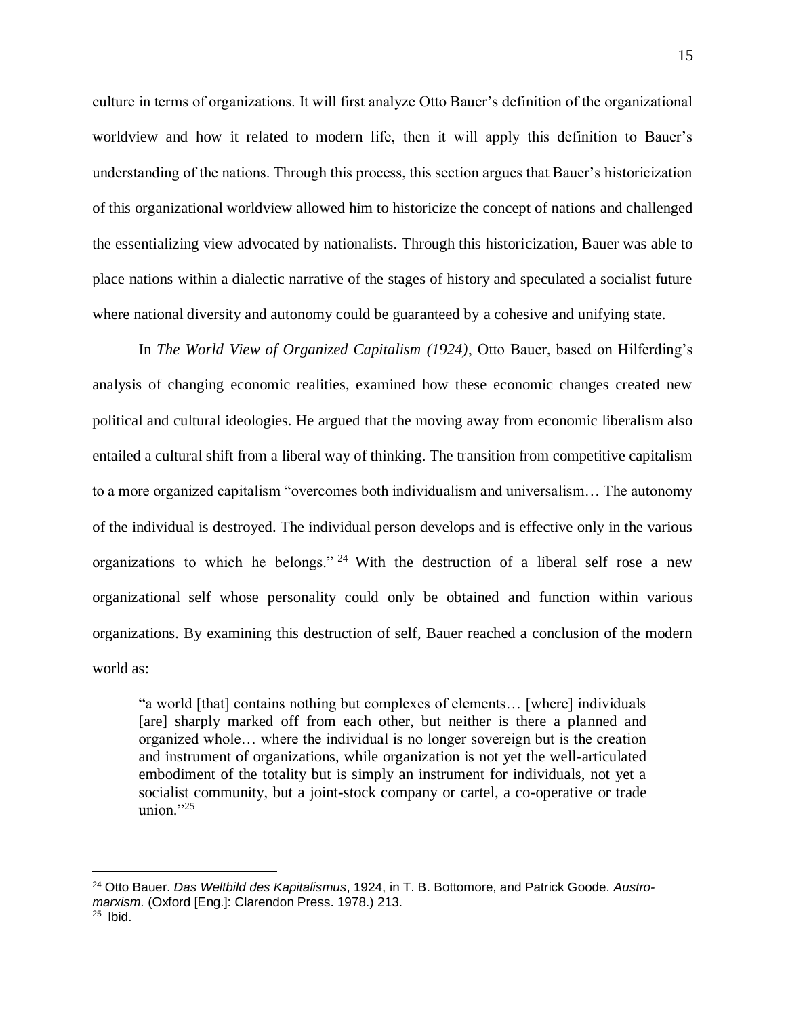culture in terms of organizations. It will first analyze Otto Bauer's definition of the organizational worldview and how it related to modern life, then it will apply this definition to Bauer's understanding of the nations. Through this process, this section argues that Bauer's historicization of this organizational worldview allowed him to historicize the concept of nations and challenged the essentializing view advocated by nationalists. Through this historicization, Bauer was able to place nations within a dialectic narrative of the stages of history and speculated a socialist future where national diversity and autonomy could be guaranteed by a cohesive and unifying state.

In *The World View of Organized Capitalism (1924)*, Otto Bauer, based on Hilferding's analysis of changing economic realities, examined how these economic changes created new political and cultural ideologies. He argued that the moving away from economic liberalism also entailed a cultural shift from a liberal way of thinking. The transition from competitive capitalism to a more organized capitalism "overcomes both individualism and universalism… The autonomy of the individual is destroyed. The individual person develops and is effective only in the various organizations to which he belongs." <sup>24</sup> With the destruction of a liberal self rose a new organizational self whose personality could only be obtained and function within various organizations. By examining this destruction of self, Bauer reached a conclusion of the modern world as:

"a world [that] contains nothing but complexes of elements… [where] individuals [are] sharply marked off from each other, but neither is there a planned and organized whole… where the individual is no longer sovereign but is the creation and instrument of organizations, while organization is not yet the well-articulated embodiment of the totality but is simply an instrument for individuals, not yet a socialist community, but a joint-stock company or cartel, a co-operative or trade union $"25$ 

<sup>24</sup> Otto Bauer. *Das Weltbild des Kapitalismus*, 1924, in T. B. Bottomore, and Patrick Goode. *Austromarxism*. (Oxford [Eng.]: Clarendon Press. 1978.) 213.

 $25$  Ibid.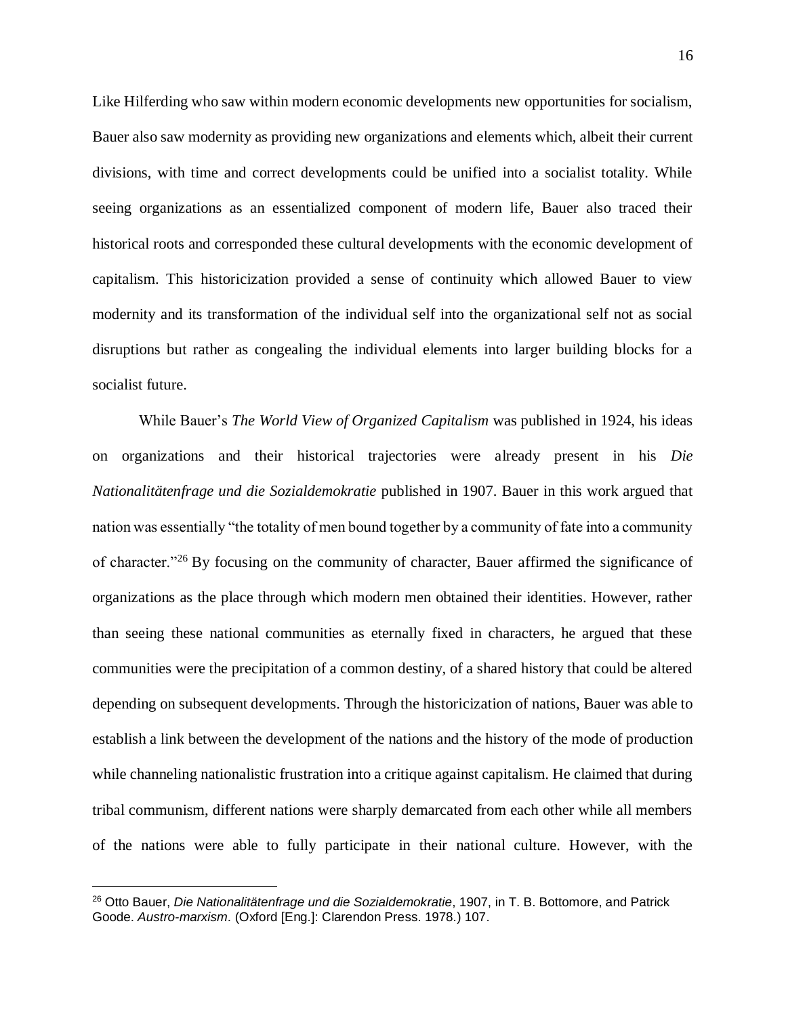Like Hilferding who saw within modern economic developments new opportunities for socialism, Bauer also saw modernity as providing new organizations and elements which, albeit their current divisions, with time and correct developments could be unified into a socialist totality. While seeing organizations as an essentialized component of modern life, Bauer also traced their historical roots and corresponded these cultural developments with the economic development of capitalism. This historicization provided a sense of continuity which allowed Bauer to view modernity and its transformation of the individual self into the organizational self not as social disruptions but rather as congealing the individual elements into larger building blocks for a socialist future.

While Bauer's *The World View of Organized Capitalism* was published in 1924, his ideas on organizations and their historical trajectories were already present in his *Die Nationalitätenfrage und die Sozialdemokratie* published in 1907. Bauer in this work argued that nation was essentially "the totality of men bound together by a community of fate into a community of character."<sup>26</sup> By focusing on the community of character, Bauer affirmed the significance of organizations as the place through which modern men obtained their identities. However, rather than seeing these national communities as eternally fixed in characters, he argued that these communities were the precipitation of a common destiny, of a shared history that could be altered depending on subsequent developments. Through the historicization of nations, Bauer was able to establish a link between the development of the nations and the history of the mode of production while channeling nationalistic frustration into a critique against capitalism. He claimed that during tribal communism, different nations were sharply demarcated from each other while all members of the nations were able to fully participate in their national culture. However, with the

<sup>26</sup> Otto Bauer, *Die Nationalitätenfrage und die Sozialdemokratie*, 1907, in T. B. Bottomore, and Patrick Goode. *Austro-marxism*. (Oxford [Eng.]: Clarendon Press. 1978.) 107.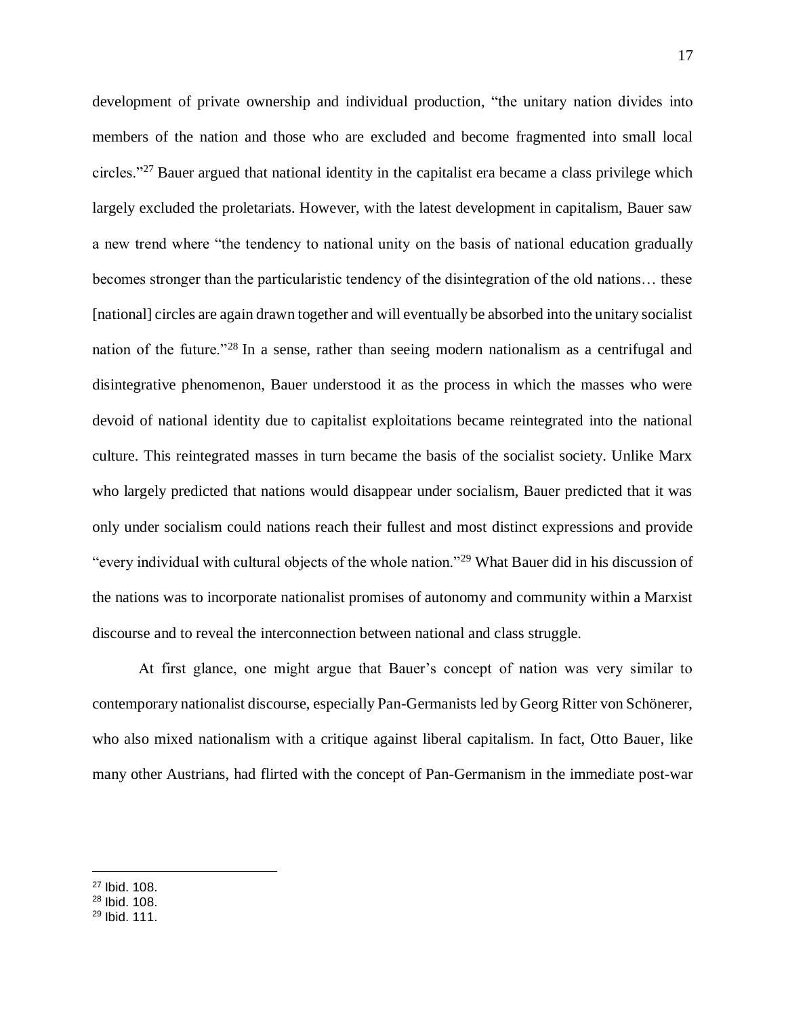development of private ownership and individual production, "the unitary nation divides into members of the nation and those who are excluded and become fragmented into small local circles."<sup>27</sup> Bauer argued that national identity in the capitalist era became a class privilege which largely excluded the proletariats. However, with the latest development in capitalism, Bauer saw a new trend where "the tendency to national unity on the basis of national education gradually becomes stronger than the particularistic tendency of the disintegration of the old nations… these [national] circles are again drawn together and will eventually be absorbed into the unitary socialist nation of the future."<sup>28</sup> In a sense, rather than seeing modern nationalism as a centrifugal and disintegrative phenomenon, Bauer understood it as the process in which the masses who were devoid of national identity due to capitalist exploitations became reintegrated into the national culture. This reintegrated masses in turn became the basis of the socialist society. Unlike Marx who largely predicted that nations would disappear under socialism, Bauer predicted that it was only under socialism could nations reach their fullest and most distinct expressions and provide "every individual with cultural objects of the whole nation."<sup>29</sup> What Bauer did in his discussion of the nations was to incorporate nationalist promises of autonomy and community within a Marxist discourse and to reveal the interconnection between national and class struggle.

At first glance, one might argue that Bauer's concept of nation was very similar to contemporary nationalist discourse, especially Pan-Germanists led by Georg Ritter von Schönerer, who also mixed nationalism with a critique against liberal capitalism. In fact, Otto Bauer, like many other Austrians, had flirted with the concept of Pan-Germanism in the immediate post-war

<sup>27</sup> Ibid. 108.

<sup>28</sup> Ibid. 108.

 $29$  Ibid. 111.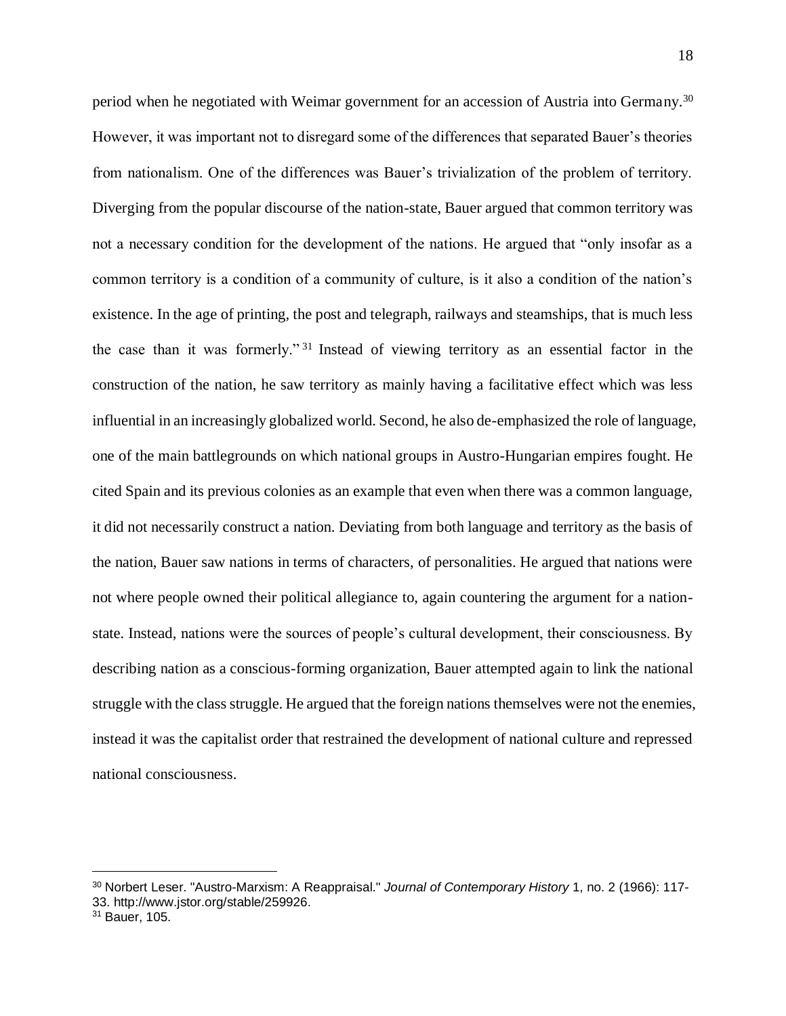period when he negotiated with Weimar government for an accession of Austria into Germany.<sup>30</sup> However, it was important not to disregard some of the differences that separated Bauer's theories from nationalism. One of the differences was Bauer's trivialization of the problem of territory. Diverging from the popular discourse of the nation-state, Bauer argued that common territory was not a necessary condition for the development of the nations. He argued that "only insofar as a common territory is a condition of a community of culture, is it also a condition of the nation's existence. In the age of printing, the post and telegraph, railways and steamships, that is much less the case than it was formerly." <sup>31</sup> Instead of viewing territory as an essential factor in the construction of the nation, he saw territory as mainly having a facilitative effect which was less influential in an increasingly globalized world. Second, he also de-emphasized the role of language, one of the main battlegrounds on which national groups in Austro-Hungarian empires fought. He cited Spain and its previous colonies as an example that even when there was a common language, it did not necessarily construct a nation. Deviating from both language and territory as the basis of the nation, Bauer saw nations in terms of characters, of personalities. He argued that nations were not where people owned their political allegiance to, again countering the argument for a nationstate. Instead, nations were the sources of people's cultural development, their consciousness. By describing nation as a conscious-forming organization, Bauer attempted again to link the national struggle with the class struggle. He argued that the foreign nations themselves were not the enemies, instead it was the capitalist order that restrained the development of national culture and repressed national consciousness.

<sup>30</sup> Norbert Leser. "Austro-Marxism: A Reappraisal." *Journal of Contemporary History* 1, no. 2 (1966): 117- 33. http://www.jstor.org/stable/259926.

<sup>&</sup>lt;sup>31</sup> Bauer, 105.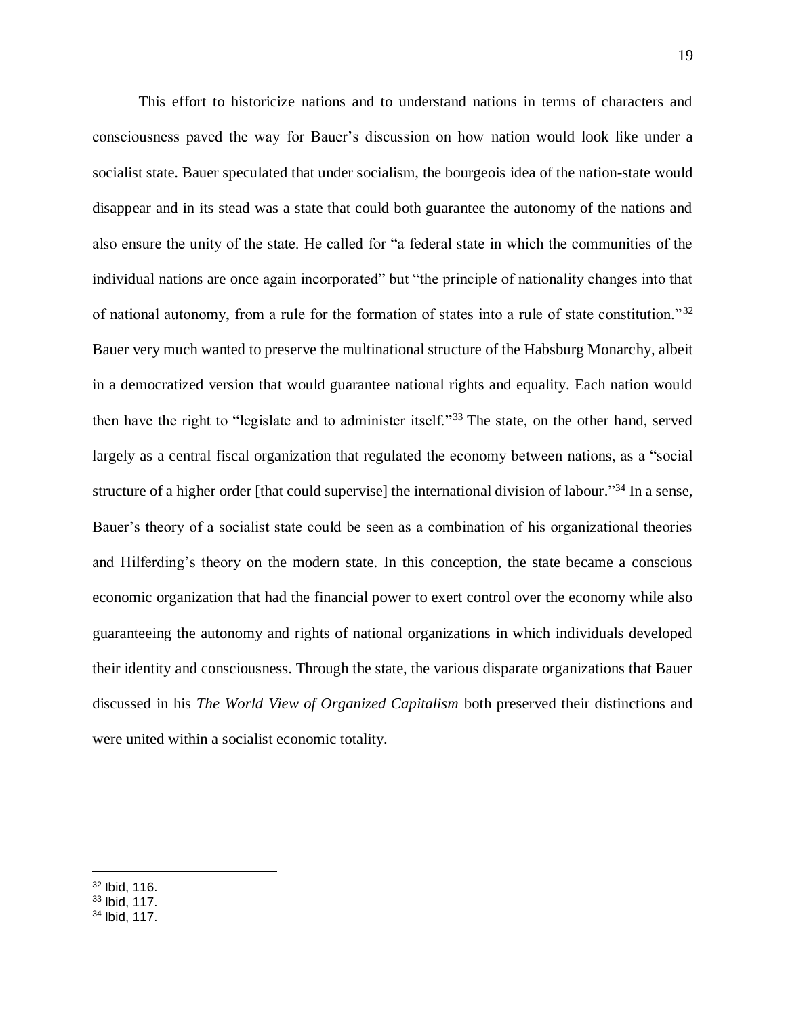This effort to historicize nations and to understand nations in terms of characters and consciousness paved the way for Bauer's discussion on how nation would look like under a socialist state. Bauer speculated that under socialism, the bourgeois idea of the nation-state would disappear and in its stead was a state that could both guarantee the autonomy of the nations and also ensure the unity of the state. He called for "a federal state in which the communities of the individual nations are once again incorporated" but "the principle of nationality changes into that of national autonomy, from a rule for the formation of states into a rule of state constitution."<sup>32</sup> Bauer very much wanted to preserve the multinational structure of the Habsburg Monarchy, albeit in a democratized version that would guarantee national rights and equality. Each nation would then have the right to "legislate and to administer itself."<sup>33</sup> The state, on the other hand, served largely as a central fiscal organization that regulated the economy between nations, as a "social structure of a higher order [that could supervise] the international division of labour."<sup>34</sup> In a sense, Bauer's theory of a socialist state could be seen as a combination of his organizational theories and Hilferding's theory on the modern state. In this conception, the state became a conscious economic organization that had the financial power to exert control over the economy while also guaranteeing the autonomy and rights of national organizations in which individuals developed their identity and consciousness. Through the state, the various disparate organizations that Bauer discussed in his *The World View of Organized Capitalism* both preserved their distinctions and were united within a socialist economic totality.

 $32$  Ibid, 116.

<sup>33</sup> Ibid, 117.

<sup>34</sup> Ibid, 117.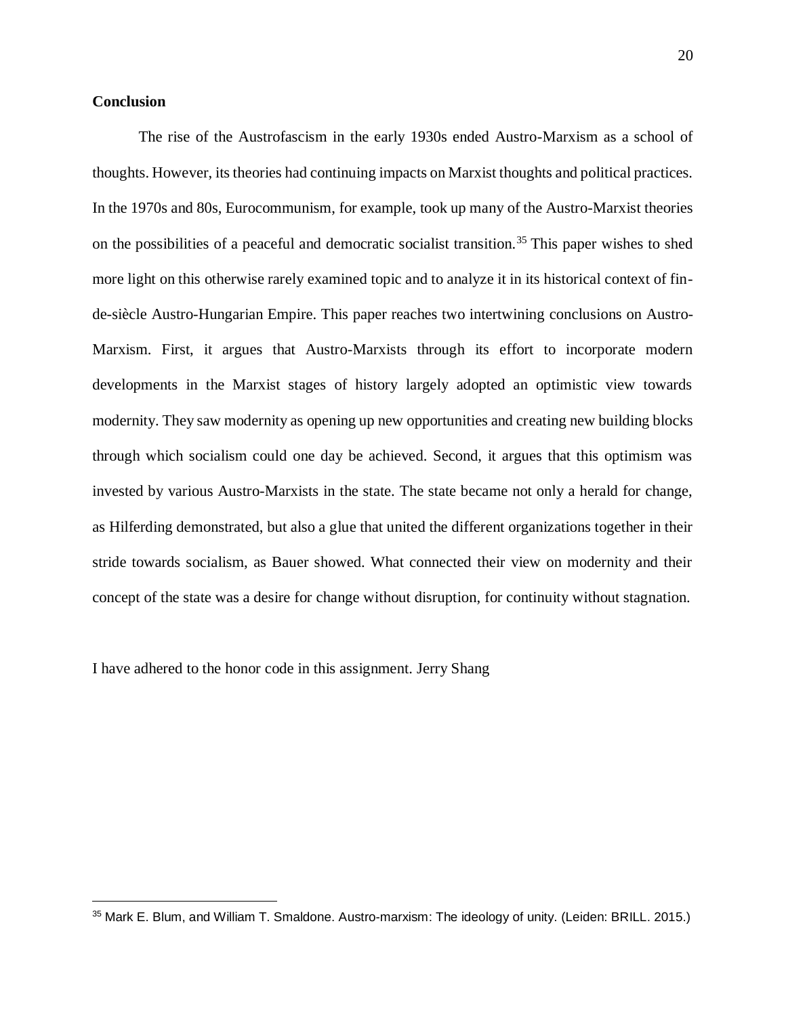# **Conclusion**

l,

The rise of the Austrofascism in the early 1930s ended Austro-Marxism as a school of thoughts. However, its theories had continuing impacts on Marxist thoughts and political practices. In the 1970s and 80s, Eurocommunism, for example, took up many of the Austro-Marxist theories on the possibilities of a peaceful and democratic socialist transition.<sup>35</sup> This paper wishes to shed more light on this otherwise rarely examined topic and to analyze it in its historical context of finde-siècle Austro-Hungarian Empire. This paper reaches two intertwining conclusions on Austro-Marxism. First, it argues that Austro-Marxists through its effort to incorporate modern developments in the Marxist stages of history largely adopted an optimistic view towards modernity. They saw modernity as opening up new opportunities and creating new building blocks through which socialism could one day be achieved. Second, it argues that this optimism was invested by various Austro-Marxists in the state. The state became not only a herald for change, as Hilferding demonstrated, but also a glue that united the different organizations together in their stride towards socialism, as Bauer showed. What connected their view on modernity and their concept of the state was a desire for change without disruption, for continuity without stagnation.

I have adhered to the honor code in this assignment. Jerry Shang

<sup>35</sup> Mark E. Blum, and William T. Smaldone. Austro-marxism: The ideology of unity. (Leiden: BRILL. 2015.)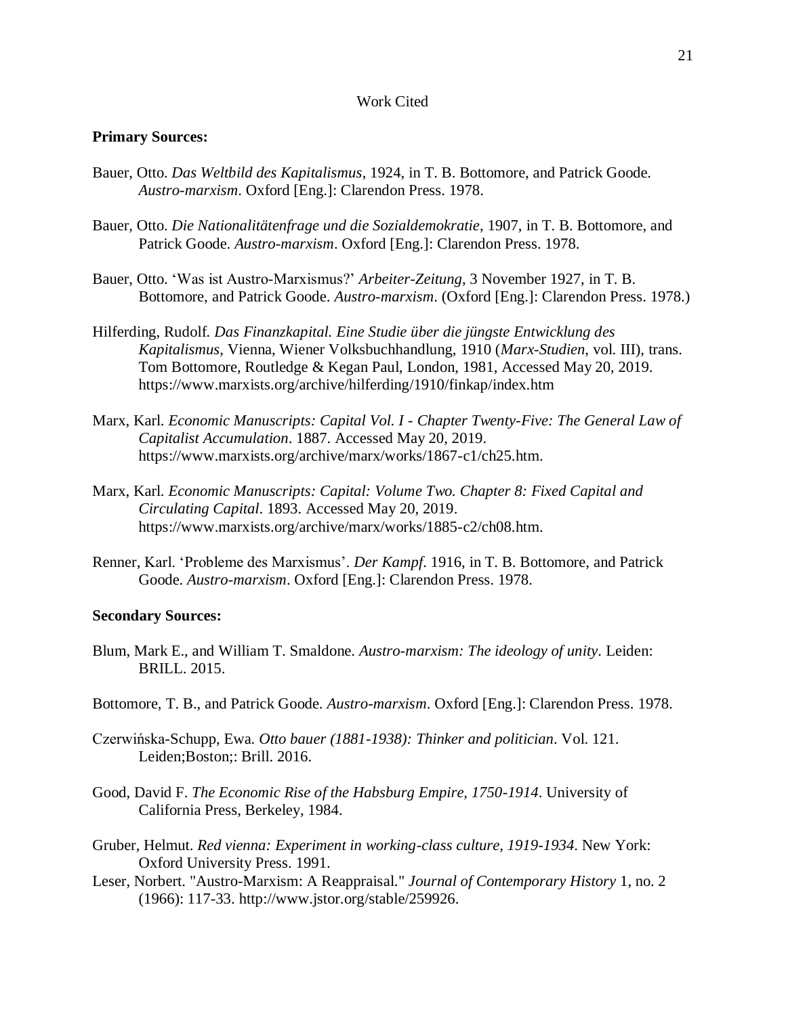# Work Cited

## **Primary Sources:**

- Bauer, Otto. *Das Weltbild des Kapitalismus*, 1924, in T. B. Bottomore, and Patrick Goode. *Austro-marxism*. Oxford [Eng.]: Clarendon Press. 1978.
- Bauer, Otto. *Die Nationalitätenfrage und die Sozialdemokratie*, 1907, in T. B. Bottomore, and Patrick Goode. *Austro-marxism*. Oxford [Eng.]: Clarendon Press. 1978.
- Bauer, Otto. 'Was ist Austro-Marxismus?' *Arbeiter-Zeitung*, 3 November 1927, in T. B. Bottomore, and Patrick Goode. *Austro-marxism*. (Oxford [Eng.]: Clarendon Press. 1978.)
- Hilferding, Rudolf*. Das Finanzkapital. Eine Studie über die jüngste Entwicklung des Kapitalismus*, Vienna, Wiener Volksbuchhandlung, 1910 (*Marx-Studien*, vol. III)*,* trans. Tom Bottomore, Routledge & Kegan Paul, London, 1981, Accessed May 20, 2019. https://www.marxists.org/archive/hilferding/1910/finkap/index.htm
- Marx, Karl. *Economic Manuscripts: Capital Vol. I Chapter Twenty-Five: The General Law of Capitalist Accumulation*. 1887. Accessed May 20, 2019. https://www.marxists.org/archive/marx/works/1867-c1/ch25.htm.
- Marx, Karl. *Economic Manuscripts: Capital: Volume Two. Chapter 8: Fixed Capital and Circulating Capital*. 1893. Accessed May 20, 2019. https://www.marxists.org/archive/marx/works/1885-c2/ch08.htm.
- Renner, Karl. 'Probleme des Marxismus'. *Der Kampf*. 1916, in T. B. Bottomore, and Patrick Goode. *Austro-marxism*. Oxford [Eng.]: Clarendon Press. 1978.

# **Secondary Sources:**

- Blum, Mark E., and William T. Smaldone. *Austro-marxism: The ideology of unity*. Leiden: BRILL. 2015.
- Bottomore, T. B., and Patrick Goode. *Austro-marxism*. Oxford [Eng.]: Clarendon Press. 1978.
- Czerwińska-Schupp, Ewa. *Otto bauer (1881-1938): Thinker and politician*. Vol. 121. Leiden;Boston;: Brill. 2016.
- Good, David F. *The Economic Rise of the Habsburg Empire, 1750-1914*. University of California Press, Berkeley, 1984.
- Gruber, Helmut. *Red vienna: Experiment in working-class culture, 1919-1934*. New York: Oxford University Press. 1991.
- Leser, Norbert. "Austro-Marxism: A Reappraisal." *Journal of Contemporary History* 1, no. 2 (1966): 117-33. http://www.jstor.org/stable/259926.